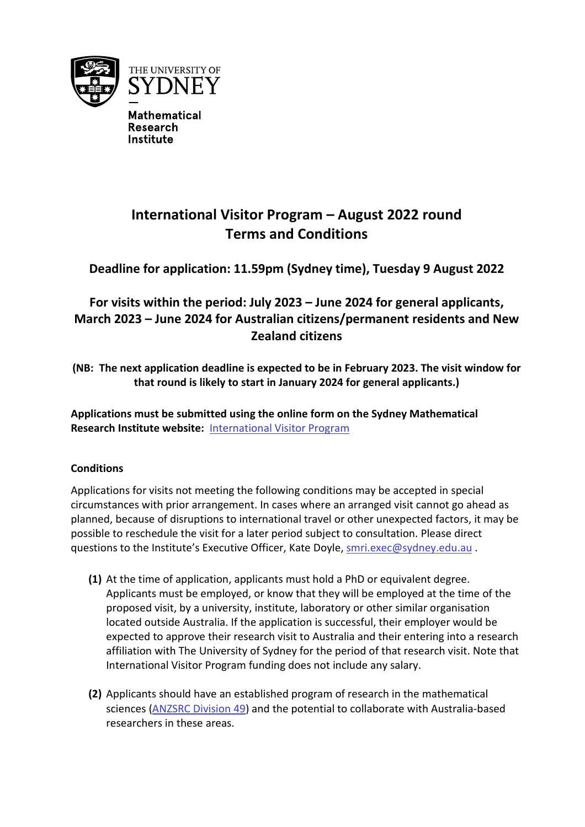

**Mathematical Research Institute** 

# **International Visitor Program – August 2022 round Terms and Conditions**

**Deadline for application: 11.59pm (Sydney time), Tuesday 9 August 2022**

## **For visits within the period: July 2023 – June 2024 for general applicants, March 2023 – June 2024 for Australian citizens/permanent residents and New Zealand citizens**

**(NB: The next application deadline is expected to be in February 2023. The visit window for that round is likely to start in January 2024 for general applicants.)**

**Applications must be submitted using the online form on the Sydney Mathematical Research Institute website:** [International Visitor Program](https://mathematical-research-institute.sydney.edu.au/international-visitor-program/)

### **Conditions**

Applications for visits not meeting the following conditions may be accepted in special circumstances with prior arrangement. In cases where an arranged visit cannot go ahead as planned, because of disruptions to international travel or other unexpected factors, it may be possible to reschedule the visit for a later period subject to consultation. Please direct questions to the Institute's Executive Officer, Kate Doyle, [smri.exec@sydney.edu.au](mailto:smri.exec@sydney.edu.au) .

- **(1)** At the time of application, applicants must hold a PhD or equivalent degree. Applicants must be employed, or know that they will be employed at the time of the proposed visit, by a university, institute, laboratory or other similar organisation located outside Australia. If the application is successful, their employer would be expected to approve their research visit to Australia and their entering into a research affiliation with The University of Sydney for the period of that research visit. Note that International Visitor Program funding does not include any salary.
- **(2)** Applicants should have an established program of research in the mathematical sciences [\(ANZSRC Division 49\)](https://www.abs.gov.au/AUSSTATS/abs@.nsf/mf/1297.0) and the potential to collaborate with Australia-based researchers in these areas.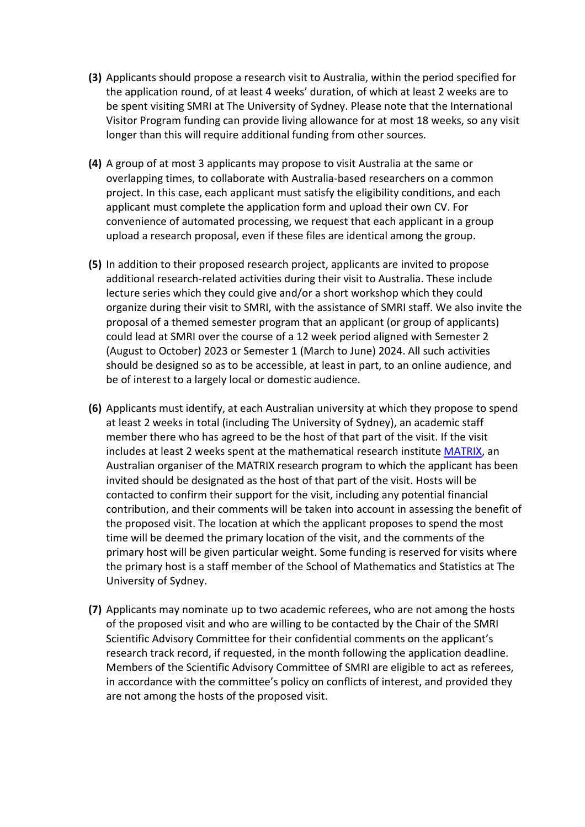- **(3)** Applicants should propose a research visit to Australia, within the period specified for the application round, of at least 4 weeks' duration, of which at least 2 weeks are to be spent visiting SMRI at The University of Sydney. Please note that the International Visitor Program funding can provide living allowance for at most 18 weeks, so any visit longer than this will require additional funding from other sources.
- **(4)** A group of at most 3 applicants may propose to visit Australia at the same or overlapping times, to collaborate with Australia-based researchers on a common project. In this case, each applicant must satisfy the eligibility conditions, and each applicant must complete the application form and upload their own CV. For convenience of automated processing, we request that each applicant in a group upload a research proposal, even if these files are identical among the group.
- **(5)** In addition to their proposed research project, applicants are invited to propose additional research-related activities during their visit to Australia. These include lecture series which they could give and/or a short workshop which they could organize during their visit to SMRI, with the assistance of SMRI staff. We also invite the proposal of a themed semester program that an applicant (or group of applicants) could lead at SMRI over the course of a 12 week period aligned with Semester 2 (August to October) 2023 or Semester 1 (March to June) 2024. All such activities should be designed so as to be accessible, at least in part, to an online audience, and be of interest to a largely local or domestic audience.
- **(6)** Applicants must identify, at each Australian university at which they propose to spend at least 2 weeks in total (including The University of Sydney), an academic staff member there who has agreed to be the host of that part of the visit. If the visit includes at least 2 weeks spent at the mathematical research institute [MATRIX,](https://www.matrix-inst.org.au/) an Australian organiser of the MATRIX research program to which the applicant has been invited should be designated as the host of that part of the visit. Hosts will be contacted to confirm their support for the visit, including any potential financial contribution, and their comments will be taken into account in assessing the benefit of the proposed visit. The location at which the applicant proposes to spend the most time will be deemed the primary location of the visit, and the comments of the primary host will be given particular weight. Some funding is reserved for visits where the primary host is a staff member of the School of Mathematics and Statistics at The University of Sydney.
- **(7)** Applicants may nominate up to two academic referees, who are not among the hosts of the proposed visit and who are willing to be contacted by the Chair of the SMRI Scientific Advisory Committee for their confidential comments on the applicant's research track record, if requested, in the month following the application deadline. Members of the Scientific Advisory Committee of SMRI are eligible to act as referees, in accordance with the committee's policy on conflicts of interest, and provided they are not among the hosts of the proposed visit.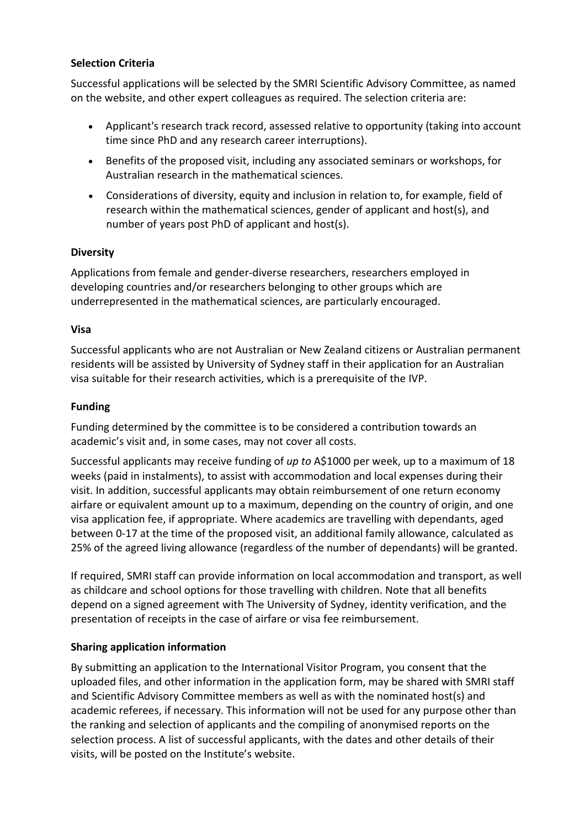#### **Selection Criteria**

Successful applications will be selected by the SMRI Scientific Advisory Committee, as named on the website, and other expert colleagues as required. The selection criteria are:

- Applicant's research track record, assessed relative to opportunity (taking into account time since PhD and any research career interruptions).
- Benefits of the proposed visit, including any associated seminars or workshops, for Australian research in the mathematical sciences.
- Considerations of diversity, equity and inclusion in relation to, for example, field of research within the mathematical sciences, gender of applicant and host(s), and number of years post PhD of applicant and host(s).

#### **Diversity**

Applications from female and gender-diverse researchers, researchers employed in developing countries and/or researchers belonging to other groups which are underrepresented in the mathematical sciences, are particularly encouraged.

#### **Visa**

Successful applicants who are not Australian or New Zealand citizens or Australian permanent residents will be assisted by University of Sydney staff in their application for an Australian visa suitable for their research activities, which is a prerequisite of the IVP.

#### **Funding**

Funding determined by the committee is to be considered a contribution towards an academic's visit and, in some cases, may not cover all costs.

Successful applicants may receive funding of *up to* A\$1000 per week, up to a maximum of 18 weeks (paid in instalments), to assist with accommodation and local expenses during their visit. In addition, successful applicants may obtain reimbursement of one return economy airfare or equivalent amount up to a maximum, depending on the country of origin, and one visa application fee, if appropriate. Where academics are travelling with dependants, aged between 0-17 at the time of the proposed visit, an additional family allowance, calculated as 25% of the agreed living allowance (regardless of the number of dependants) will be granted.

If required, SMRI staff can provide information on local accommodation and transport, as well as childcare and school options for those travelling with children. Note that all benefits depend on a signed agreement with The University of Sydney, identity verification, and the presentation of receipts in the case of airfare or visa fee reimbursement.

#### **Sharing application information**

By submitting an application to the International Visitor Program, you consent that the uploaded files, and other information in the application form, may be shared with SMRI staff and Scientific Advisory Committee members as well as with the nominated host(s) and academic referees, if necessary. This information will not be used for any purpose other than the ranking and selection of applicants and the compiling of anonymised reports on the selection process. A list of successful applicants, with the dates and other details of their visits, will be posted on the Institute's website.